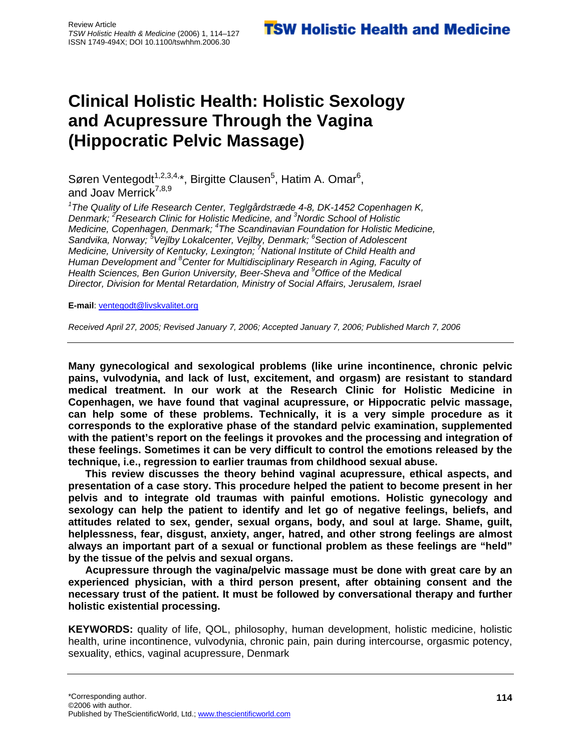# **Clinical Holistic Health: Holistic Sexology and Acupressure Through the Vagina (Hippocratic Pelvic Massage)**

Søren Ventegodt<sup>1,2,3,4,\*</sup>, Birgitte Clausen<sup>5</sup>, Hatim A. Omar<sup>6</sup>, and Joav Merrick $^{7,8,9}$ 

*1 The Quality of Life Research Center, Teglgårdstræde 4-8, DK-1452 Copenhagen K, Denmark; 2 Research Clinic for Holistic Medicine, and <sup>3</sup> Nordic School of Holistic Medicine, Copenhagen, Denmark; <sup>4</sup> The Scandinavian Foundation for Holistic Medicine, Sandvika, Norway; <sup>5</sup> Vejlby Lokalcenter, Vejlby, Denmark; <sup>6</sup> Section of Adolescent Medicine, University of Kentucky, Lexington; 7 National Institute of Child Health and Human Development and <sup>8</sup> Center for Multidisciplinary Research in Aging, Faculty of Health Sciences, Ben Gurion University, Beer-Sheva and <sup>9</sup> Office of the Medical Director, Division for Mental Retardation, Ministry of Social Affairs, Jerusalem, Israel* 

**E-mail**: ventegodt@livskvalitet.org

*Received April 27, 2005; Revised January 7, 2006; Accepted January 7, 2006; Published March 7, 2006*

**Many gynecological and sexological problems (like urine incontinence, chronic pelvic pains, vulvodynia, and lack of lust, excitement, and orgasm) are resistant to standard medical treatment. In our work at the Research Clinic for Holistic Medicine in Copenhagen, we have found that vaginal acupressure, or Hippocratic pelvic massage, can help some of these problems. Technically, it is a very simple procedure as it corresponds to the explorative phase of the standard pelvic examination, supplemented with the patient's report on the feelings it provokes and the processing and integration of these feelings. Sometimes it can be very difficult to control the emotions released by the technique, i.e., regression to earlier traumas from childhood sexual abuse.** 

**This review discusses the theory behind vaginal acupressure, ethical aspects, and presentation of a case story. This procedure helped the patient to become present in her pelvis and to integrate old traumas with painful emotions. Holistic gynecology and sexology can help the patient to identify and let go of negative feelings, beliefs, and attitudes related to sex, gender, sexual organs, body, and soul at large. Shame, guilt, helplessness, fear, disgust, anxiety, anger, hatred, and other strong feelings are almost always an important part of a sexual or functional problem as these feelings are "held" by the tissue of the pelvis and sexual organs.** 

**Acupressure through the vagina/pelvic massage must be done with great care by an experienced physician, with a third person present, after obtaining consent and the necessary trust of the patient. It must be followed by conversational therapy and further holistic existential processing.** 

**KEYWORDS:** quality of life, QOL, philosophy, human development, holistic medicine, holistic health, urine incontinence, vulvodynia, chronic pain, pain during intercourse, orgasmic potency, sexuality, ethics, vaginal acupressure, Denmark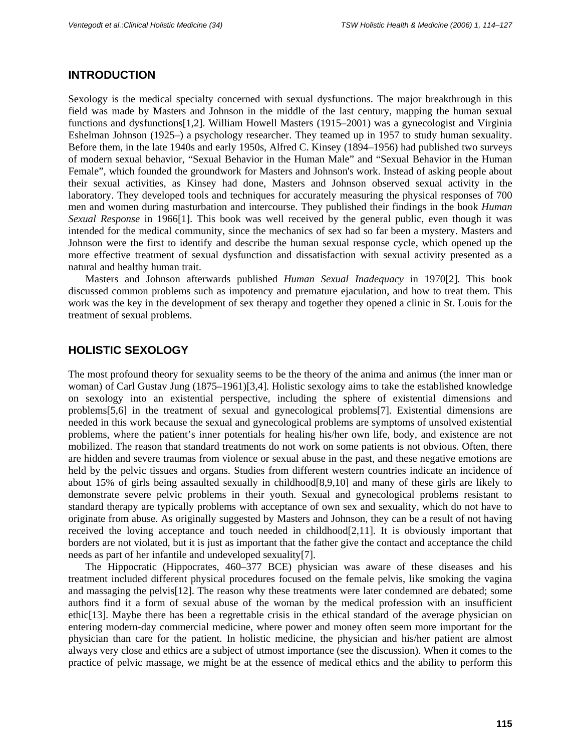#### **INTRODUCTION**

Sexology is the medical specialty concerned with sexual dysfunctions. The major breakthrough in this field was made by Masters and Johnson in the middle of the last century, mapping the human sexual functions and dysfunctions[1,2]. William Howell Masters (1915–2001) was a gynecologist and Virginia Eshelman Johnson (1925–) a psychology researcher. They teamed up in 1957 to study human sexuality. Before them, in the late 1940s and early 1950s, Alfred C. Kinsey (1894–1956) had published two surveys of modern sexual behavior, "Sexual Behavior in the Human Male" and "Sexual Behavior in the Human Female", which founded the groundwork for Masters and Johnson's work. Instead of asking people about their sexual activities, as Kinsey had done, Masters and Johnson observed sexual activity in the laboratory. They developed tools and techniques for accurately measuring the physical responses of 700 men and women during masturbation and intercourse. They published their findings in the book *Human Sexual Response* in 1966[1]. This book was well received by the general public, even though it was intended for the medical community, since the mechanics of sex had so far been a mystery. Masters and Johnson were the first to identify and describe the human sexual response cycle, which opened up the more effective treatment of sexual dysfunction and dissatisfaction with sexual activity presented as a natural and healthy human trait.

Masters and Johnson afterwards published *Human Sexual Inadequacy* in 1970[2]. This book discussed common problems such as impotency and premature ejaculation, and how to treat them. This work was the key in the development of sex therapy and together they opened a clinic in St. Louis for the treatment of sexual problems.

#### **HOLISTIC SEXOLOGY**

The most profound theory for sexuality seems to be the theory of the anima and animus (the inner man or woman) of Carl Gustav Jung (1875–1961)[3,4]. Holistic sexology aims to take the established knowledge on sexology into an existential perspective, including the sphere of existential dimensions and problems[5,6] in the treatment of sexual and gynecological problems[7]. Existential dimensions are needed in this work because the sexual and gynecological problems are symptoms of unsolved existential problems, where the patient's inner potentials for healing his/her own life, body, and existence are not mobilized. The reason that standard treatments do not work on some patients is not obvious. Often, there are hidden and severe traumas from violence or sexual abuse in the past, and these negative emotions are held by the pelvic tissues and organs. Studies from different western countries indicate an incidence of about 15% of girls being assaulted sexually in childhood[8,9,10] and many of these girls are likely to demonstrate severe pelvic problems in their youth. Sexual and gynecological problems resistant to standard therapy are typically problems with acceptance of own sex and sexuality, which do not have to originate from abuse. As originally suggested by Masters and Johnson, they can be a result of not having received the loving acceptance and touch needed in childhood[2,11]. It is obviously important that borders are not violated, but it is just as important that the father give the contact and acceptance the child needs as part of her infantile and undeveloped sexuality[7].

The Hippocratic (Hippocrates, 460–377 BCE) physician was aware of these diseases and his treatment included different physical procedures focused on the female pelvis, like smoking the vagina and massaging the pelvis[12]. The reason why these treatments were later condemned are debated; some authors find it a form of sexual abuse of the woman by the medical profession with an insufficient ethic[13]. Maybe there has been a regrettable crisis in the ethical standard of the average physician on entering modern-day commercial medicine, where power and money often seem more important for the physician than care for the patient. In holistic medicine, the physician and his/her patient are almost always very close and ethics are a subject of utmost importance (see the discussion). When it comes to the practice of pelvic massage, we might be at the essence of medical ethics and the ability to perform this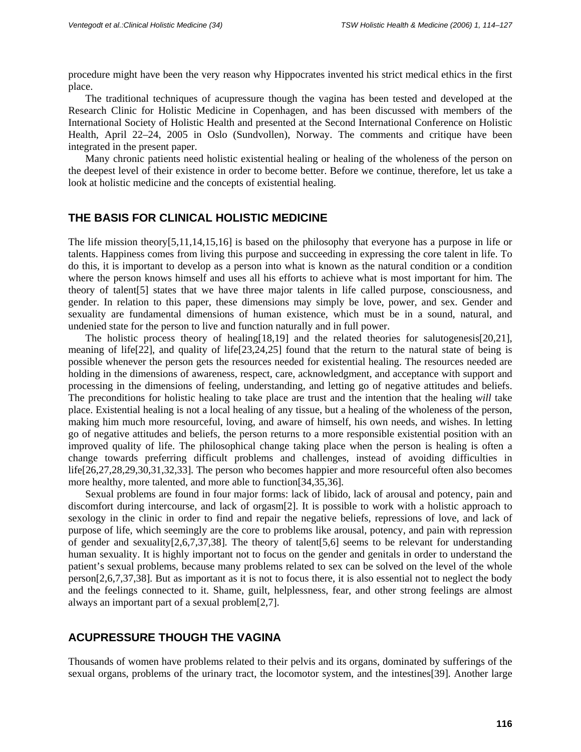procedure might have been the very reason why Hippocrates invented his strict medical ethics in the first place.

The traditional techniques of acupressure though the vagina has been tested and developed at the Research Clinic for Holistic Medicine in Copenhagen, and has been discussed with members of the International Society of Holistic Health and presented at the Second International Conference on Holistic Health, April 22–24, 2005 in Oslo (Sundvollen), Norway. The comments and critique have been integrated in the present paper.

Many chronic patients need holistic existential healing or healing of the wholeness of the person on the deepest level of their existence in order to become better. Before we continue, therefore, let us take a look at holistic medicine and the concepts of existential healing.

#### **THE BASIS FOR CLINICAL HOLISTIC MEDICINE**

The life mission theory[5,11,14,15,16] is based on the philosophy that everyone has a purpose in life or talents. Happiness comes from living this purpose and succeeding in expressing the core talent in life. To do this, it is important to develop as a person into what is known as the natural condition or a condition where the person knows himself and uses all his efforts to achieve what is most important for him. The theory of talent[5] states that we have three major talents in life called purpose, consciousness, and gender. In relation to this paper, these dimensions may simply be love, power, and sex. Gender and sexuality are fundamental dimensions of human existence, which must be in a sound, natural, and undenied state for the person to live and function naturally and in full power.

The holistic process theory of healing [18,19] and the related theories for salutogenesis [20,21], meaning of life[22], and quality of life[23,24,25] found that the return to the natural state of being is possible whenever the person gets the resources needed for existential healing. The resources needed are holding in the dimensions of awareness, respect, care, acknowledgment, and acceptance with support and processing in the dimensions of feeling, understanding, and letting go of negative attitudes and beliefs. The preconditions for holistic healing to take place are trust and the intention that the healing *will* take place. Existential healing is not a local healing of any tissue, but a healing of the wholeness of the person, making him much more resourceful, loving, and aware of himself, his own needs, and wishes. In letting go of negative attitudes and beliefs, the person returns to a more responsible existential position with an improved quality of life. The philosophical change taking place when the person is healing is often a change towards preferring difficult problems and challenges, instead of avoiding difficulties in life[26,27,28,29,30,31,32,33]. The person who becomes happier and more resourceful often also becomes more healthy, more talented, and more able to function[34,35,36].

Sexual problems are found in four major forms: lack of libido, lack of arousal and potency, pain and discomfort during intercourse, and lack of orgasm[2]. It is possible to work with a holistic approach to sexology in the clinic in order to find and repair the negative beliefs, repressions of love, and lack of purpose of life, which seemingly are the core to problems like arousal, potency, and pain with repression of gender and sexuality[2,6,7,37,38]. The theory of talent[5,6] seems to be relevant for understanding human sexuality. It is highly important not to focus on the gender and genitals in order to understand the patient's sexual problems, because many problems related to sex can be solved on the level of the whole person[2,6,7,37,38]. But as important as it is not to focus there, it is also essential not to neglect the body and the feelings connected to it. Shame, guilt, helplessness, fear, and other strong feelings are almost always an important part of a sexual problem[2,7].

# **ACUPRESSURE THOUGH THE VAGINA**

Thousands of women have problems related to their pelvis and its organs, dominated by sufferings of the sexual organs, problems of the urinary tract, the locomotor system, and the intestines[39]. Another large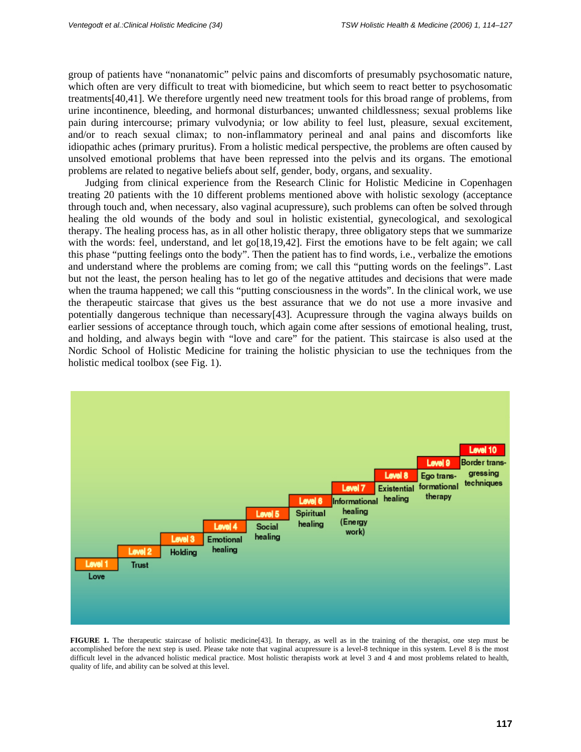group of patients have "nonanatomic" pelvic pains and discomforts of presumably psychosomatic nature, which often are very difficult to treat with biomedicine, but which seem to react better to psychosomatic treatments[40,41]. We therefore urgently need new treatment tools for this broad range of problems, from urine incontinence, bleeding, and hormonal disturbances; unwanted childlessness; sexual problems like pain during intercourse; primary vulvodynia; or low ability to feel lust, pleasure, sexual excitement, and/or to reach sexual climax; to non-inflammatory perineal and anal pains and discomforts like idiopathic aches (primary pruritus). From a holistic medical perspective, the problems are often caused by unsolved emotional problems that have been repressed into the pelvis and its organs. The emotional problems are related to negative beliefs about self, gender, body, organs, and sexuality.

Judging from clinical experience from the Research Clinic for Holistic Medicine in Copenhagen treating 20 patients with the 10 different problems mentioned above with holistic sexology (acceptance through touch and, when necessary, also vaginal acupressure), such problems can often be solved through healing the old wounds of the body and soul in holistic existential, gynecological, and sexological therapy. The healing process has, as in all other holistic therapy, three obligatory steps that we summarize with the words: feel, understand, and let go[18,19,42]. First the emotions have to be felt again; we call this phase "putting feelings onto the body". Then the patient has to find words, i.e., verbalize the emotions and understand where the problems are coming from; we call this "putting words on the feelings". Last but not the least, the person healing has to let go of the negative attitudes and decisions that were made when the trauma happened; we call this "putting consciousness in the words". In the clinical work, we use the therapeutic staircase that gives us the best assurance that we do not use a more invasive and potentially dangerous technique than necessary[43]. Acupressure through the vagina always builds on earlier sessions of acceptance through touch, which again come after sessions of emotional healing, trust, and holding, and always begin with "love and care" for the patient. This staircase is also used at the Nordic School of Holistic Medicine for training the holistic physician to use the techniques from the holistic medical toolbox (see Fig. 1).



**FIGURE 1.** The therapeutic staircase of holistic medicine[43]. In therapy, as well as in the training of the therapist, one step must be accomplished before the next step is used. Please take note that vaginal acupressure is a level-8 technique in this system. Level 8 is the most difficult level in the advanced holistic medical practice. Most holistic therapists work at level 3 and 4 and most problems related to health, quality of life, and ability can be solved at this level.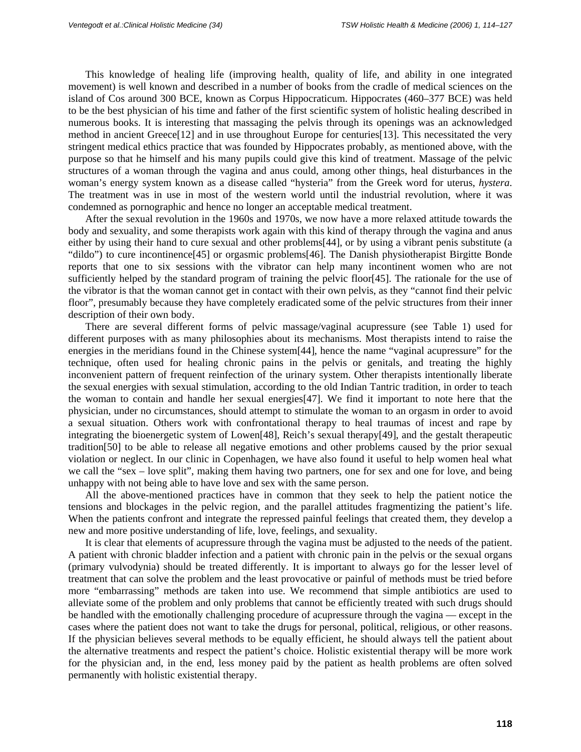This knowledge of healing life (improving health, quality of life, and ability in one integrated movement) is well known and described in a number of books from the cradle of medical sciences on the island of Cos around 300 BCE, known as Corpus Hippocraticum. Hippocrates (460–377 BCE) was held to be the best physician of his time and father of the first scientific system of holistic healing described in numerous books. It is interesting that massaging the pelvis through its openings was an acknowledged method in ancient Greece[12] and in use throughout Europe for centuries[13]. This necessitated the very stringent medical ethics practice that was founded by Hippocrates probably, as mentioned above, with the purpose so that he himself and his many pupils could give this kind of treatment. Massage of the pelvic structures of a woman through the vagina and anus could, among other things, heal disturbances in the woman's energy system known as a disease called "hysteria" from the Greek word for uterus, *hystera*. The treatment was in use in most of the western world until the industrial revolution, where it was condemned as pornographic and hence no longer an acceptable medical treatment.

After the sexual revolution in the 1960s and 1970s, we now have a more relaxed attitude towards the body and sexuality, and some therapists work again with this kind of therapy through the vagina and anus either by using their hand to cure sexual and other problems[44], or by using a vibrant penis substitute (a "dildo") to cure incontinence[45] or orgasmic problems[46]. The Danish physiotherapist Birgitte Bonde reports that one to six sessions with the vibrator can help many incontinent women who are not sufficiently helped by the standard program of training the pelvic floor[45]. The rationale for the use of the vibrator is that the woman cannot get in contact with their own pelvis, as they "cannot find their pelvic floor", presumably because they have completely eradicated some of the pelvic structures from their inner description of their own body.

There are several different forms of pelvic massage/vaginal acupressure (see Table 1) used for different purposes with as many philosophies about its mechanisms. Most therapists intend to raise the energies in the meridians found in the Chinese system[44], hence the name "vaginal acupressure" for the technique, often used for healing chronic pains in the pelvis or genitals, and treating the highly inconvenient pattern of frequent reinfection of the urinary system. Other therapists intentionally liberate the sexual energies with sexual stimulation, according to the old Indian Tantric tradition, in order to teach the woman to contain and handle her sexual energies[47]. We find it important to note here that the physician, under no circumstances, should attempt to stimulate the woman to an orgasm in order to avoid a sexual situation. Others work with confrontational therapy to heal traumas of incest and rape by integrating the bioenergetic system of Lowen[48], Reich's sexual therapy[49], and the gestalt therapeutic tradition[50] to be able to release all negative emotions and other problems caused by the prior sexual violation or neglect. In our clinic in Copenhagen, we have also found it useful to help women heal what we call the "sex – love split", making them having two partners, one for sex and one for love, and being unhappy with not being able to have love and sex with the same person.

All the above-mentioned practices have in common that they seek to help the patient notice the tensions and blockages in the pelvic region, and the parallel attitudes fragmentizing the patient's life. When the patients confront and integrate the repressed painful feelings that created them, they develop a new and more positive understanding of life, love, feelings, and sexuality.

It is clear that elements of acupressure through the vagina must be adjusted to the needs of the patient. A patient with chronic bladder infection and a patient with chronic pain in the pelvis or the sexual organs (primary vulvodynia) should be treated differently. It is important to always go for the lesser level of treatment that can solve the problem and the least provocative or painful of methods must be tried before more "embarrassing" methods are taken into use. We recommend that simple antibiotics are used to alleviate some of the problem and only problems that cannot be efficiently treated with such drugs should be handled with the emotionally challenging procedure of acupressure through the vagina — except in the cases where the patient does not want to take the drugs for personal, political, religious, or other reasons. If the physician believes several methods to be equally efficient, he should always tell the patient about the alternative treatments and respect the patient's choice. Holistic existential therapy will be more work for the physician and, in the end, less money paid by the patient as health problems are often solved permanently with holistic existential therapy.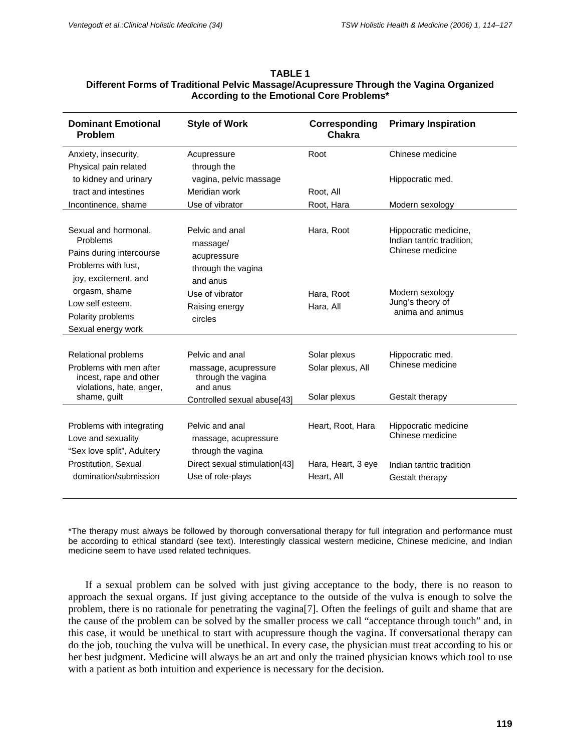| <b>Dominant Emotional</b><br><b>Problem</b>                                                                          | <b>Style of Work</b>                                                                                     | Corresponding<br>Chakra                           | <b>Primary Inspiration</b>                                             |
|----------------------------------------------------------------------------------------------------------------------|----------------------------------------------------------------------------------------------------------|---------------------------------------------------|------------------------------------------------------------------------|
| Anxiety, insecurity,<br>Physical pain related                                                                        | Acupressure<br>through the                                                                               | Root                                              | Chinese medicine                                                       |
| to kidney and urinary                                                                                                | vagina, pelvic massage                                                                                   |                                                   | Hippocratic med.                                                       |
| tract and intestines                                                                                                 | Meridian work                                                                                            | Root. All                                         |                                                                        |
| Incontinence, shame                                                                                                  | Use of vibrator                                                                                          | Root, Hara                                        | Modern sexology                                                        |
| Sexual and hormonal.<br>Problems<br>Pains during intercourse<br>Problems with lust.<br>joy, excitement, and          | Pelvic and anal<br>massage/<br>acupressure<br>through the vagina<br>and anus                             | Hara, Root                                        | Hippocratic medicine,<br>Indian tantric tradition.<br>Chinese medicine |
| orgasm, shame<br>Low self esteem,<br>Polarity problems<br>Sexual energy work                                         | Use of vibrator<br>Raising energy<br>circles                                                             | Hara, Root<br>Hara, All                           | Modern sexology<br>Jung's theory of<br>anima and animus                |
| Relational problems<br>Problems with men after<br>incest, rape and other<br>violations, hate, anger,<br>shame, guilt | Pelvic and anal<br>massage, acupressure<br>through the vagina<br>and anus<br>Controlled sexual abuse[43] | Solar plexus<br>Solar plexus, All<br>Solar plexus | Hippocratic med.<br>Chinese medicine<br>Gestalt therapy                |
| Problems with integrating<br>Love and sexuality<br>"Sex love split", Adultery                                        | Pelvic and anal<br>massage, acupressure<br>through the vagina                                            | Heart, Root, Hara                                 | Hippocratic medicine<br>Chinese medicine                               |
| Prostitution, Sexual<br>domination/submission                                                                        | Direct sexual stimulation[43]<br>Use of role-plays                                                       | Hara, Heart, 3 eye<br>Heart, All                  | Indian tantric tradition<br>Gestalt therapy                            |

#### **TABLE 1 Different Forms of Traditional Pelvic Massage/Acupressure Through the Vagina Organized According to the Emotional Core Problems\***

\*The therapy must always be followed by thorough conversational therapy for full integration and performance must be according to ethical standard (see text). Interestingly classical western medicine, Chinese medicine, and Indian medicine seem to have used related techniques.

If a sexual problem can be solved with just giving acceptance to the body, there is no reason to approach the sexual organs. If just giving acceptance to the outside of the vulva is enough to solve the problem, there is no rationale for penetrating the vagina[7]. Often the feelings of guilt and shame that are the cause of the problem can be solved by the smaller process we call "acceptance through touch" and, in this case, it would be unethical to start with acupressure though the vagina. If conversational therapy can do the job, touching the vulva will be unethical. In every case, the physician must treat according to his or her best judgment. Medicine will always be an art and only the trained physician knows which tool to use with a patient as both intuition and experience is necessary for the decision.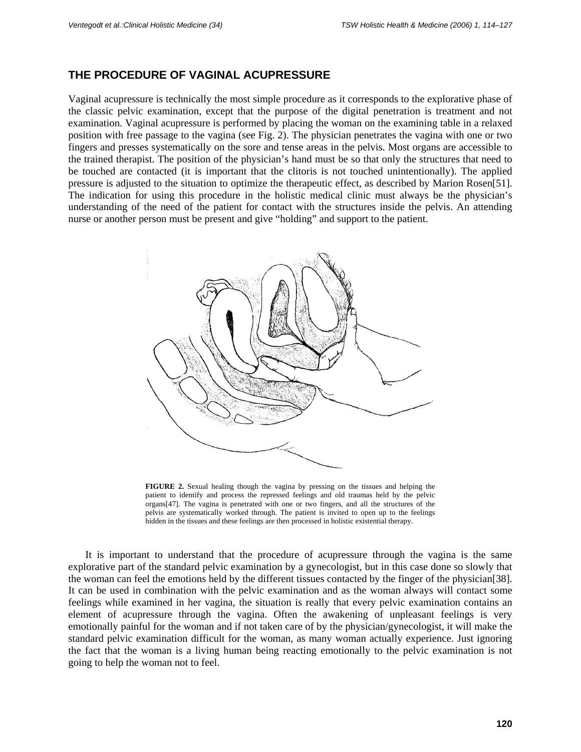# **THE PROCEDURE OF VAGINAL ACUPRESSURE**

Vaginal acupressure is technically the most simple procedure as it corresponds to the explorative phase of the classic pelvic examination, except that the purpose of the digital penetration is treatment and not examination. Vaginal acupressure is performed by placing the woman on the examining table in a relaxed position with free passage to the vagina (see Fig. 2). The physician penetrates the vagina with one or two fingers and presses systematically on the sore and tense areas in the pelvis. Most organs are accessible to the trained therapist. The position of the physician's hand must be so that only the structures that need to be touched are contacted (it is important that the clitoris is not touched unintentionally). The applied pressure is adjusted to the situation to optimize the therapeutic effect, as described by Marion Rosen[51]. The indication for using this procedure in the holistic medical clinic must always be the physician's understanding of the need of the patient for contact with the structures inside the pelvis. An attending nurse or another person must be present and give "holding" and support to the patient.



**FIGURE 2.** Sexual healing though the vagina by pressing on the tissues and helping the patient to identify and process the repressed feelings and old traumas held by the pelvic organs[47]. The vagina is penetrated with one or two fingers, and all the structures of the pelvis are systematically worked through. The patient is invited to open up to the feelings hidden in the tissues and these feelings are then processed in holistic existential therapy.

It is important to understand that the procedure of acupressure through the vagina is the same explorative part of the standard pelvic examination by a gynecologist, but in this case done so slowly that the woman can feel the emotions held by the different tissues contacted by the finger of the physician[38]. It can be used in combination with the pelvic examination and as the woman always will contact some feelings while examined in her vagina, the situation is really that every pelvic examination contains an element of acupressure through the vagina. Often the awakening of unpleasant feelings is very emotionally painful for the woman and if not taken care of by the physician/gynecologist, it will make the standard pelvic examination difficult for the woman, as many woman actually experience. Just ignoring the fact that the woman is a living human being reacting emotionally to the pelvic examination is not going to help the woman not to feel.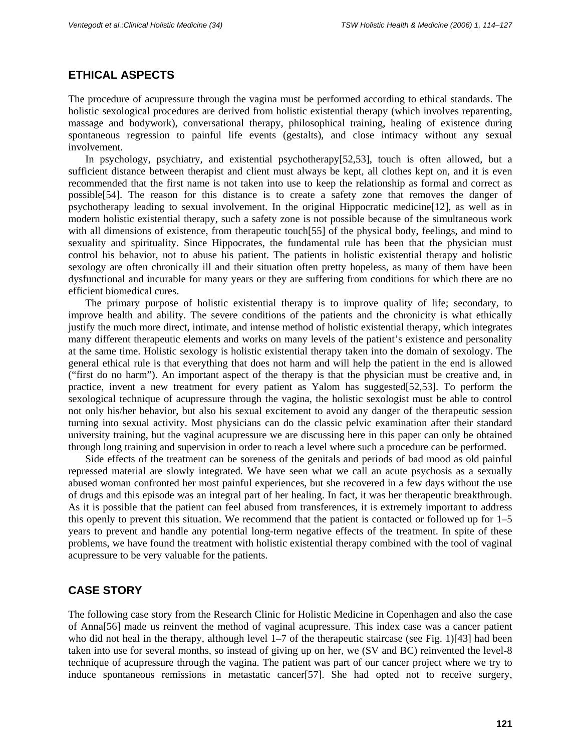# **ETHICAL ASPECTS**

The procedure of acupressure through the vagina must be performed according to ethical standards. The holistic sexological procedures are derived from holistic existential therapy (which involves reparenting, massage and bodywork), conversational therapy, philosophical training, healing of existence during spontaneous regression to painful life events (gestalts), and close intimacy without any sexual involvement.

In psychology, psychiatry, and existential psychotherapy[52,53], touch is often allowed, but a sufficient distance between therapist and client must always be kept, all clothes kept on, and it is even recommended that the first name is not taken into use to keep the relationship as formal and correct as possible[54]. The reason for this distance is to create a safety zone that removes the danger of psychotherapy leading to sexual involvement. In the original Hippocratic medicine[12], as well as in modern holistic existential therapy, such a safety zone is not possible because of the simultaneous work with all dimensions of existence, from therapeutic touch[55] of the physical body, feelings, and mind to sexuality and spirituality. Since Hippocrates, the fundamental rule has been that the physician must control his behavior, not to abuse his patient. The patients in holistic existential therapy and holistic sexology are often chronically ill and their situation often pretty hopeless, as many of them have been dysfunctional and incurable for many years or they are suffering from conditions for which there are no efficient biomedical cures.

The primary purpose of holistic existential therapy is to improve quality of life; secondary, to improve health and ability. The severe conditions of the patients and the chronicity is what ethically justify the much more direct, intimate, and intense method of holistic existential therapy, which integrates many different therapeutic elements and works on many levels of the patient's existence and personality at the same time. Holistic sexology is holistic existential therapy taken into the domain of sexology. The general ethical rule is that everything that does not harm and will help the patient in the end is allowed ("first do no harm"). An important aspect of the therapy is that the physician must be creative and, in practice, invent a new treatment for every patient as Yalom has suggested[52,53]. To perform the sexological technique of acupressure through the vagina, the holistic sexologist must be able to control not only his/her behavior, but also his sexual excitement to avoid any danger of the therapeutic session turning into sexual activity. Most physicians can do the classic pelvic examination after their standard university training, but the vaginal acupressure we are discussing here in this paper can only be obtained through long training and supervision in order to reach a level where such a procedure can be performed.

Side effects of the treatment can be soreness of the genitals and periods of bad mood as old painful repressed material are slowly integrated. We have seen what we call an acute psychosis as a sexually abused woman confronted her most painful experiences, but she recovered in a few days without the use of drugs and this episode was an integral part of her healing. In fact, it was her therapeutic breakthrough. As it is possible that the patient can feel abused from transferences, it is extremely important to address this openly to prevent this situation. We recommend that the patient is contacted or followed up for 1–5 years to prevent and handle any potential long-term negative effects of the treatment. In spite of these problems, we have found the treatment with holistic existential therapy combined with the tool of vaginal acupressure to be very valuable for the patients.

# **CASE STORY**

The following case story from the Research Clinic for Holistic Medicine in Copenhagen and also the case of Anna[56] made us reinvent the method of vaginal acupressure. This index case was a cancer patient who did not heal in the therapy, although level 1–7 of the therapeutic staircase (see Fig. 1)[43] had been taken into use for several months, so instead of giving up on her, we (SV and BC) reinvented the level-8 technique of acupressure through the vagina. The patient was part of our cancer project where we try to induce spontaneous remissions in metastatic cancer[57]. She had opted not to receive surgery,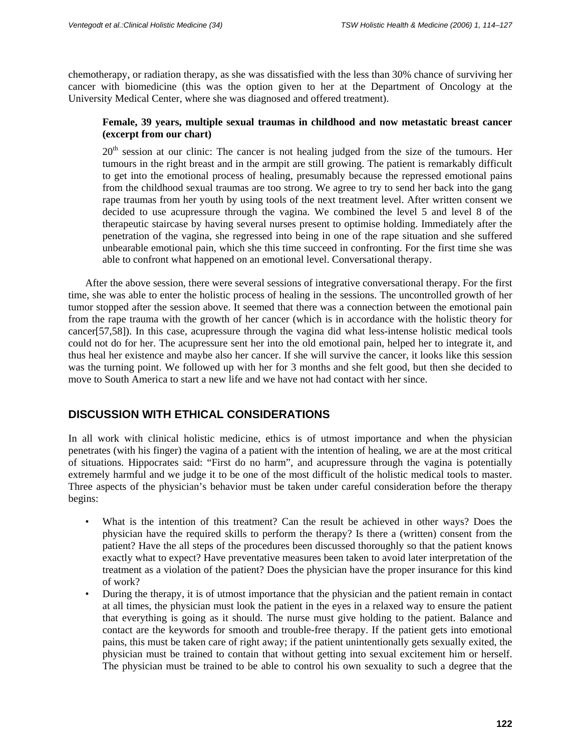chemotherapy, or radiation therapy, as she was dissatisfied with the less than 30% chance of surviving her cancer with biomedicine (this was the option given to her at the Department of Oncology at the University Medical Center, where she was diagnosed and offered treatment).

#### **Female, 39 years, multiple sexual traumas in childhood and now metastatic breast cancer (excerpt from our chart)**

20<sup>th</sup> session at our clinic: The cancer is not healing judged from the size of the tumours. Her tumours in the right breast and in the armpit are still growing. The patient is remarkably difficult to get into the emotional process of healing, presumably because the repressed emotional pains from the childhood sexual traumas are too strong. We agree to try to send her back into the gang rape traumas from her youth by using tools of the next treatment level. After written consent we decided to use acupressure through the vagina. We combined the level 5 and level 8 of the therapeutic staircase by having several nurses present to optimise holding. Immediately after the penetration of the vagina, she regressed into being in one of the rape situation and she suffered unbearable emotional pain, which she this time succeed in confronting. For the first time she was able to confront what happened on an emotional level. Conversational therapy.

After the above session, there were several sessions of integrative conversational therapy. For the first time, she was able to enter the holistic process of healing in the sessions. The uncontrolled growth of her tumor stopped after the session above. It seemed that there was a connection between the emotional pain from the rape trauma with the growth of her cancer (which is in accordance with the holistic theory for cancer[57,58]). In this case, acupressure through the vagina did what less-intense holistic medical tools could not do for her. The acupressure sent her into the old emotional pain, helped her to integrate it, and thus heal her existence and maybe also her cancer. If she will survive the cancer, it looks like this session was the turning point. We followed up with her for 3 months and she felt good, but then she decided to move to South America to start a new life and we have not had contact with her since.

# **DISCUSSION WITH ETHICAL CONSIDERATIONS**

In all work with clinical holistic medicine, ethics is of utmost importance and when the physician penetrates (with his finger) the vagina of a patient with the intention of healing, we are at the most critical of situations. Hippocrates said: "First do no harm", and acupressure through the vagina is potentially extremely harmful and we judge it to be one of the most difficult of the holistic medical tools to master. Three aspects of the physician's behavior must be taken under careful consideration before the therapy begins:

- What is the intention of this treatment? Can the result be achieved in other ways? Does the physician have the required skills to perform the therapy? Is there a (written) consent from the patient? Have the all steps of the procedures been discussed thoroughly so that the patient knows exactly what to expect? Have preventative measures been taken to avoid later interpretation of the treatment as a violation of the patient? Does the physician have the proper insurance for this kind of work?
- During the therapy, it is of utmost importance that the physician and the patient remain in contact at all times, the physician must look the patient in the eyes in a relaxed way to ensure the patient that everything is going as it should. The nurse must give holding to the patient. Balance and contact are the keywords for smooth and trouble-free therapy. If the patient gets into emotional pains, this must be taken care of right away; if the patient unintentionally gets sexually exited, the physician must be trained to contain that without getting into sexual excitement him or herself. The physician must be trained to be able to control his own sexuality to such a degree that the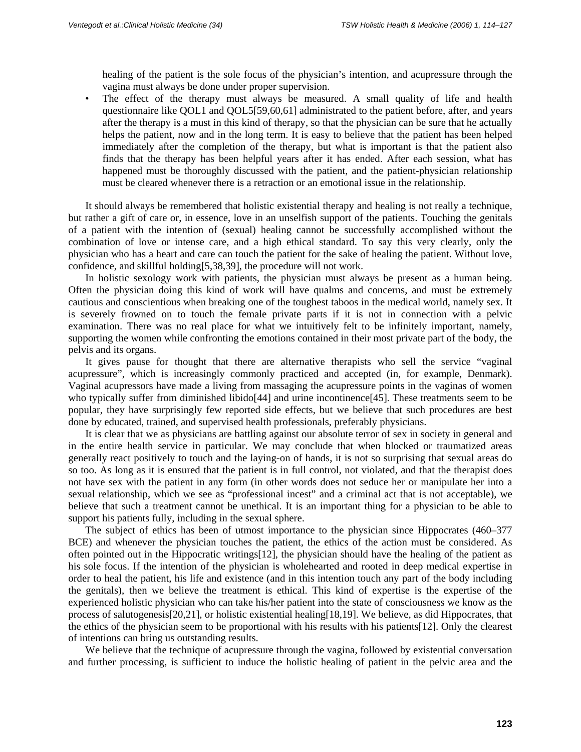healing of the patient is the sole focus of the physician's intention, and acupressure through the vagina must always be done under proper supervision.

• The effect of the therapy must always be measured. A small quality of life and health questionnaire like QOL1 and QOL5[59,60,61] administrated to the patient before, after, and years after the therapy is a must in this kind of therapy, so that the physician can be sure that he actually helps the patient, now and in the long term. It is easy to believe that the patient has been helped immediately after the completion of the therapy, but what is important is that the patient also finds that the therapy has been helpful years after it has ended. After each session, what has happened must be thoroughly discussed with the patient, and the patient-physician relationship must be cleared whenever there is a retraction or an emotional issue in the relationship.

It should always be remembered that holistic existential therapy and healing is not really a technique, but rather a gift of care or, in essence, love in an unselfish support of the patients. Touching the genitals of a patient with the intention of (sexual) healing cannot be successfully accomplished without the combination of love or intense care, and a high ethical standard. To say this very clearly, only the physician who has a heart and care can touch the patient for the sake of healing the patient. Without love, confidence, and skillful holding[5,38,39], the procedure will not work.

In holistic sexology work with patients, the physician must always be present as a human being. Often the physician doing this kind of work will have qualms and concerns, and must be extremely cautious and conscientious when breaking one of the toughest taboos in the medical world, namely sex. It is severely frowned on to touch the female private parts if it is not in connection with a pelvic examination. There was no real place for what we intuitively felt to be infinitely important, namely, supporting the women while confronting the emotions contained in their most private part of the body, the pelvis and its organs.

It gives pause for thought that there are alternative therapists who sell the service "vaginal acupressure", which is increasingly commonly practiced and accepted (in, for example, Denmark). Vaginal acupressors have made a living from massaging the acupressure points in the vaginas of women who typically suffer from diminished libido[44] and urine incontinence[45]. These treatments seem to be popular, they have surprisingly few reported side effects, but we believe that such procedures are best done by educated, trained, and supervised health professionals, preferably physicians.

It is clear that we as physicians are battling against our absolute terror of sex in society in general and in the entire health service in particular. We may conclude that when blocked or traumatized areas generally react positively to touch and the laying-on of hands, it is not so surprising that sexual areas do so too. As long as it is ensured that the patient is in full control, not violated, and that the therapist does not have sex with the patient in any form (in other words does not seduce her or manipulate her into a sexual relationship, which we see as "professional incest" and a criminal act that is not acceptable), we believe that such a treatment cannot be unethical. It is an important thing for a physician to be able to support his patients fully, including in the sexual sphere.

The subject of ethics has been of utmost importance to the physician since Hippocrates (460–377 BCE) and whenever the physician touches the patient, the ethics of the action must be considered. As often pointed out in the Hippocratic writings[12], the physician should have the healing of the patient as his sole focus. If the intention of the physician is wholehearted and rooted in deep medical expertise in order to heal the patient, his life and existence (and in this intention touch any part of the body including the genitals), then we believe the treatment is ethical. This kind of expertise is the expertise of the experienced holistic physician who can take his/her patient into the state of consciousness we know as the process of salutogenesis[20,21], or holistic existential healing[18,19]. We believe, as did Hippocrates, that the ethics of the physician seem to be proportional with his results with his patients[12]. Only the clearest of intentions can bring us outstanding results.

We believe that the technique of acupressure through the vagina, followed by existential conversation and further processing, is sufficient to induce the holistic healing of patient in the pelvic area and the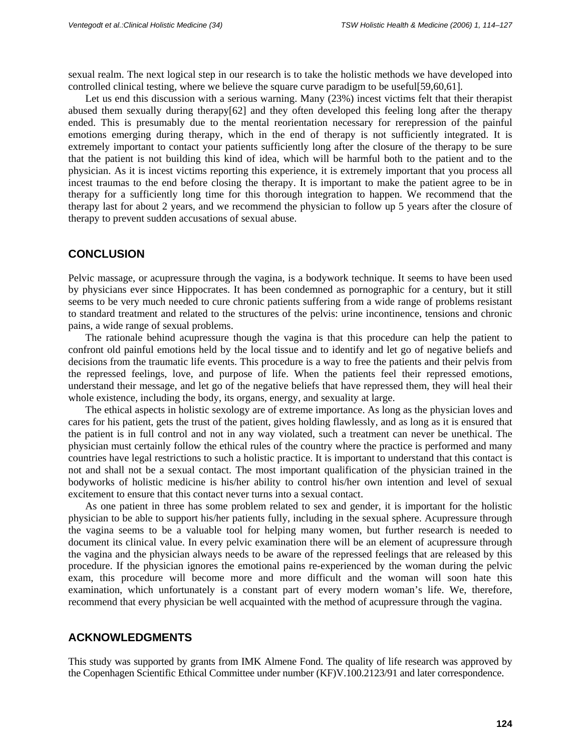sexual realm. The next logical step in our research is to take the holistic methods we have developed into controlled clinical testing, where we believe the square curve paradigm to be useful[59,60,61].

Let us end this discussion with a serious warning. Many (23%) incest victims felt that their therapist abused them sexually during therapy[62] and they often developed this feeling long after the therapy ended. This is presumably due to the mental reorientation necessary for rerepression of the painful emotions emerging during therapy, which in the end of therapy is not sufficiently integrated. It is extremely important to contact your patients sufficiently long after the closure of the therapy to be sure that the patient is not building this kind of idea, which will be harmful both to the patient and to the physician. As it is incest victims reporting this experience, it is extremely important that you process all incest traumas to the end before closing the therapy. It is important to make the patient agree to be in therapy for a sufficiently long time for this thorough integration to happen. We recommend that the therapy last for about 2 years, and we recommend the physician to follow up 5 years after the closure of therapy to prevent sudden accusations of sexual abuse.

#### **CONCLUSION**

Pelvic massage, or acupressure through the vagina, is a bodywork technique. It seems to have been used by physicians ever since Hippocrates. It has been condemned as pornographic for a century, but it still seems to be very much needed to cure chronic patients suffering from a wide range of problems resistant to standard treatment and related to the structures of the pelvis: urine incontinence, tensions and chronic pains, a wide range of sexual problems.

The rationale behind acupressure though the vagina is that this procedure can help the patient to confront old painful emotions held by the local tissue and to identify and let go of negative beliefs and decisions from the traumatic life events. This procedure is a way to free the patients and their pelvis from the repressed feelings, love, and purpose of life. When the patients feel their repressed emotions, understand their message, and let go of the negative beliefs that have repressed them, they will heal their whole existence, including the body, its organs, energy, and sexuality at large.

The ethical aspects in holistic sexology are of extreme importance. As long as the physician loves and cares for his patient, gets the trust of the patient, gives holding flawlessly, and as long as it is ensured that the patient is in full control and not in any way violated, such a treatment can never be unethical. The physician must certainly follow the ethical rules of the country where the practice is performed and many countries have legal restrictions to such a holistic practice. It is important to understand that this contact is not and shall not be a sexual contact. The most important qualification of the physician trained in the bodyworks of holistic medicine is his/her ability to control his/her own intention and level of sexual excitement to ensure that this contact never turns into a sexual contact.

As one patient in three has some problem related to sex and gender, it is important for the holistic physician to be able to support his/her patients fully, including in the sexual sphere. Acupressure through the vagina seems to be a valuable tool for helping many women, but further research is needed to document its clinical value. In every pelvic examination there will be an element of acupressure through the vagina and the physician always needs to be aware of the repressed feelings that are released by this procedure. If the physician ignores the emotional pains re-experienced by the woman during the pelvic exam, this procedure will become more and more difficult and the woman will soon hate this examination, which unfortunately is a constant part of every modern woman's life. We, therefore, recommend that every physician be well acquainted with the method of acupressure through the vagina.

#### **ACKNOWLEDGMENTS**

This study was supported by grants from IMK Almene Fond. The quality of life research was approved by the Copenhagen Scientific Ethical Committee under number (KF)V.100.2123/91 and later correspondence.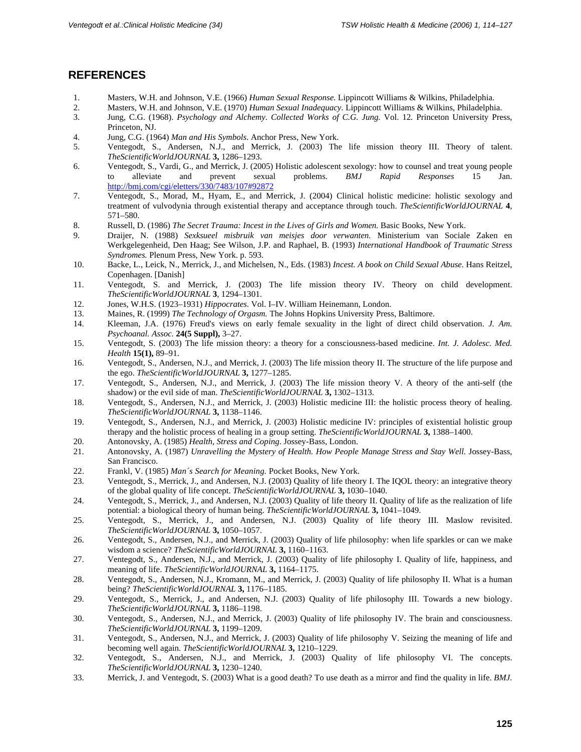# **REFERENCES**

- 1. Masters, W.H. and Johnson, V.E. (1966) *Human Sexual Response.* Lippincott Williams & Wilkins, Philadelphia.
- 2. Masters, W.H. and Johnson, V.E. (1970) *Human Sexual Inadequacy*. Lippincott Williams & Wilkins, Philadelphia. 3. Jung, C.G. (1968). *Psychology and Alchemy. Collected Works of C.G. Jung.* Vol. 12*.* Princeton University Press, Princeton, NJ.
- 4. Jung, C.G. (1964) *Man and His Symbols*. Anchor Press, New York.
- 5. Ventegodt, S., Andersen, N.J., and Merrick, J. (2003) The life mission theory III. Theory of talent. *TheScientificWorldJOURNAL* **3,** 1286–1293.
- 6. Ventegodt, S., Vardi, G., and Merrick, J. (2005) Holistic adolescent sexology: how to counsel and treat young people to alleviate and prevent sexual problems. *BMJ Rapid Responses* 15 Jan. http://bmj.com/cgi/eletters/330/7483/107#92872
- 7. Ventegodt, S., Morad, M., Hyam, E., and Merrick, J. (2004) Clinical holistic medicine: holistic sexology and treatment of vulvodynia through existential therapy and acceptance through touch. *TheScientificWorldJOURNAL* **4**, 571–580.
- 8. Russell, D. (1986) *The Secret Trauma: Incest in the Lives of Girls and Women. Basic Books, New York.*
- 9. Draijer, N. (1988) *Sexksueel misbruik van meisjes door verwanten.* Ministerium van Sociale Zaken en Werkgelegenheid, Den Haag; See Wilson, J.P. and Raphael, B. (1993) *International Handbook of Traumatic Stress Syndromes.* Plenum Press, New York. p. 593.
- 10. Backe, L., Leick, N., Merrick, J., and Michelsen, N., Eds. (1983) *Incest. A book on Child Sexual Abuse.* Hans Reitzel, Copenhagen. [Danish]
- 11. Ventegodt, S. and Merrick, J. (2003) The life mission theory IV. Theory on child development. *TheScientificWorldJOURNAL* **3**, 1294–1301.
- 12. Jones, W.H.S. (1923–1931) *Hippocrates*. Vol. I–IV. William Heinemann, London.
- 13. Maines, R. (1999) *The Technology of Orgasm.* The Johns Hopkins University Press, Baltimore.
- 14. Kleeman, J.A. (1976) Freud's views on early female sexuality in the light of direct child observation. *J. Am. Psychoanal. Assoc.* **24(5 Suppl),** 3–27.
- 15. Ventegodt, S. (2003) The life mission theory: a theory for a consciousness-based medicine. *Int. J. Adolesc. Med. Health* **15(1),** 89–91.
- 16. Ventegodt, S., Andersen, N.J., and Merrick, J. (2003) The life mission theory II. The structure of the life purpose and the ego. *TheScientificWorldJOURNAL* **3,** 1277–1285.
- 17. Ventegodt, S., Andersen, N.J., and Merrick, J. (2003) The life mission theory V. A theory of the anti-self (the shadow) or the evil side of man. *TheScientificWorldJOURNAL* **3,** 1302–1313.
- 18. Ventegodt, S., Andersen, N.J., and Merrick, J. (2003) Holistic medicine III: the holistic process theory of healing. *TheScientificWorldJOURNAL* **3,** 1138–1146.
- 19. Ventegodt, S., Andersen, N.J., and Merrick, J. (2003) Holistic medicine IV: principles of existential holistic group therapy and the holistic process of healing in a group setting. *TheScientificWorldJOURNAL* **3,** 1388–1400.
- 20. Antonovsky, A. (1985) *Health, Stress and Coping*. Jossey-Bass, London.
- 21. Antonovsky, A. (1987) *Unravelling the Mystery of Health. How People Manage Stress and Stay Well.* Jossey-Bass, San Francisco.
- 22. Frankl, V. (1985) *Man´s Search for Meaning.* Pocket Books, New York.
- 23. Ventegodt, S., Merrick, J., and Andersen, N.J. (2003) Quality of life theory I. The IQOL theory: an integrative theory of the global quality of life concept. *TheScientificWorldJOURNAL* **3,** 1030–1040.
- 24. Ventegodt, S., Merrick, J., and Andersen, N.J. (2003) Quality of life theory II. Quality of life as the realization of life potential: a biological theory of human being. *TheScientificWorldJOURNAL* **3,** 1041–1049.
- 25. Ventegodt, S., Merrick, J., and Andersen, N.J. (2003) Quality of life theory III. Maslow revisited. *TheScientificWorldJOURNAL* **3,** 1050–1057.
- 26. Ventegodt, S., Andersen, N.J., and Merrick, J. (2003) Quality of life philosophy: when life sparkles or can we make wisdom a science? *TheScientificWorldJOURNAL* **3,** 1160–1163.
- 27. Ventegodt, S., Andersen, N.J., and Merrick, J. (2003) Quality of life philosophy I. Quality of life, happiness, and meaning of life. *TheScientificWorldJOURNAL* **3,** 1164–1175.
- 28. Ventegodt, S., Andersen, N.J., Kromann, M., and Merrick, J. (2003) Quality of life philosophy II. What is a human being? *TheScientificWorldJOURNAL* **3,** 1176–1185.
- 29. Ventegodt, S., Merrick, J., and Andersen, N.J. (2003) Quality of life philosophy III. Towards a new biology. *TheScientificWorldJOURNAL* **3,** 1186–1198.
- 30. Ventegodt, S., Andersen, N.J., and Merrick, J. (2003) Quality of life philosophy IV. The brain and consciousness. *TheScientificWorldJOURNAL* **3,** 1199–1209.
- 31. Ventegodt, S., Andersen, N.J., and Merrick, J. (2003) Quality of life philosophy V. Seizing the meaning of life and becoming well again. *TheScientificWorldJOURNAL* **3,** 1210–1229.
- 32. Ventegodt, S., Andersen, N.J., and Merrick, J. (2003) Quality of life philosophy VI. The concepts. *TheScientificWorldJOURNAL* **3,** 1230–1240.
- 33. Merrick, J. and Ventegodt, S. (2003) What is a good death? To use death as a mirror and find the quality in life. *BMJ.*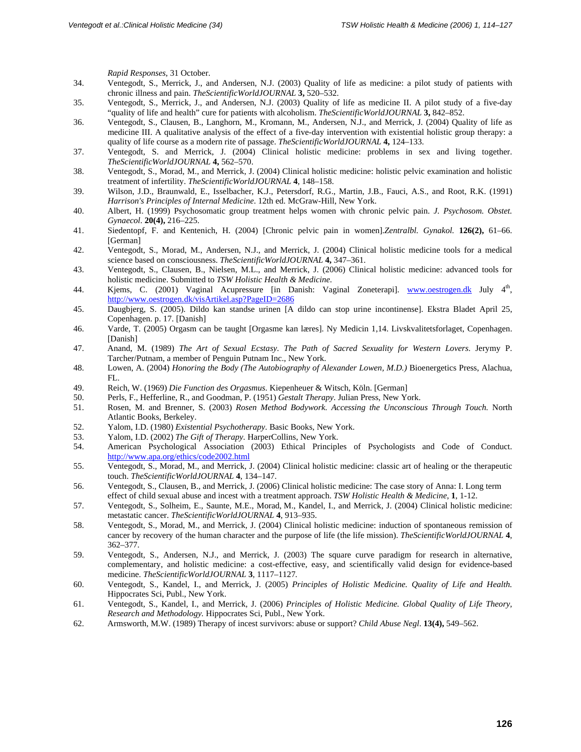*Rapid Responses*, 31 October.

- 34. Ventegodt, S., Merrick, J., and Andersen, N.J. (2003) Quality of life as medicine: a pilot study of patients with chronic illness and pain. *TheScientificWorldJOURNAL* **3,** 520–532.
- 35. Ventegodt, S., Merrick, J., and Andersen, N.J. (2003) Quality of life as medicine II. A pilot study of a five-day "quality of life and health" cure for patients with alcoholism. *TheScientificWorldJOURNAL* **3,** 842–852.
- 36. Ventegodt, S., Clausen, B., Langhorn, M., Kromann, M., Andersen, N.J., and Merrick, J. (2004) Quality of life as medicine III. A qualitative analysis of the effect of a five-day intervention with existential holistic group therapy: a quality of life course as a modern rite of passage. *TheScientificWorldJOURNAL* **4,** 124–133.
- 37. Ventegodt, S. and Merrick, J. (2004) Clinical holistic medicine: problems in sex and living together. *TheScientificWorldJOURNAL* **4,** 562–570.
- 38. Ventegodt, S., Morad, M., and Merrick, J. (2004) Clinical holistic medicine: holistic pelvic examination and holistic treatment of infertility. *TheScientificWorldJOURNAL* **4**, 148–158.
- 39. Wilson, J.D., Braunwald, E., Isselbacher, K.J., Petersdorf, R.G., Martin, J.B., Fauci, A.S., and Root, R.K. (1991) *Harrison's Principles of Internal Medicine*. 12th ed. McGraw-Hill, New York.
- 40. Albert, H. (1999) Psychosomatic group treatment helps women with chronic pelvic pain. *J. Psychosom. Obstet. Gynaecol*. **20(4),** 216–225.
- 41. Siedentopf, F. and Kentenich, H. (2004) [Chronic pelvic pain in women].*Zentralbl. Gynakol.* **126(2),** 61–66. [German]
- 42. Ventegodt, S., Morad, M., Andersen, N.J., and Merrick, J. (2004) Clinical holistic medicine tools for a medical science based on consciousness. *TheScientificWorldJOURNAL* **4,** 347–361.
- 43. Ventegodt, S., Clausen, B., Nielsen, M.L., and Merrick, J. (2006) Clinical holistic medicine: advanced tools for holistic medicine. Submitted to *TSW Holistic Health & Medicine.*
- 44. Kjems, C. (2001) Vaginal Acupressure [in Danish: Vaginal Zoneterapi]. www.oestrogen.dk July 4<sup>th</sup>, http://www.oestrogen.dk/visArtikel.asp?PageID=2686
- 45. Daugbjerg, S. (2005). Dildo kan standse urinen [A dildo can stop urine incontinense]. Ekstra Bladet April 25, Copenhagen. p. 17. [Danish]
- 46. Varde, T. (2005) Orgasm can be taught [Orgasme kan læres]. Ny Medicin 1,14. Livskvalitetsforlaget, Copenhagen. [Danish]
- 47. Anand, M. (1989) *The Art of Sexual Ecstasy. The Path of Sacred Sexuality for Western Lovers*. Jerymy P. Tarcher/Putnam, a member of Penguin Putnam Inc., New York.
- 48. Lowen, A. (2004) *Honoring the Body (The Autobiography of Alexander Lowen, M.D.)* Bioenergetics Press, Alachua, FL.
- 49. Reich, W. (1969) *Die Function des Orgasmus*. Kiepenheuer & Witsch, Köln. [German]
- 50. Perls, F., Hefferline, R., and Goodman, P. (1951) *Gestalt Therapy*. Julian Press, New York.
- 51. Rosen, M. and Brenner, S. (2003) *Rosen Method Bodywork. Accessing the Unconscious Through Touch.* North Atlantic Books, Berkeley.
- 52. Yalom, I.D. (1980) *Existential Psychotherapy*. Basic Books, New York.
- 53. Yalom, I.D. (2002) *The Gift of Therapy.* HarperCollins, New York.
- 54. American Psychological Association (2003) Ethical Principles of Psychologists and Code of Conduct. http://www.apa.org/ethics/code2002.html
- 55. Ventegodt, S., Morad, M., and Merrick, J. (2004) Clinical holistic medicine: classic art of healing or the therapeutic touch. *TheScientificWorldJOURNAL* **4**, 134–147.
- 56. Ventegodt, S., Clausen, B., and Merrick, J. (2006) Clinical holistic medicine: The case story of Anna: I. Long term effect of child sexual abuse and incest with a treatment approach. *TSW Holistic Health & Medicine*, **1**, 1-12.
- 57. Ventegodt, S., Solheim, E., Saunte, M.E., Morad, M., Kandel, I., and Merrick, J. (2004) Clinical holistic medicine: metastatic cancer. *TheScientificWorldJOURNAL* **4**, 913–935.
- 58. Ventegodt, S., Morad, M., and Merrick, J. (2004) Clinical holistic medicine: induction of spontaneous remission of cancer by recovery of the human character and the purpose of life (the life mission). *TheScientificWorldJOURNAL* **4**, 362–377.
- 59. Ventegodt, S., Andersen, N.J., and Merrick, J. (2003) The square curve paradigm for research in alternative, complementary, and holistic medicine: a cost-effective, easy, and scientifically valid design for evidence-based medicine. *TheScientificWorldJOURNAL* **3**, 1117–1127*.*
- 60. Ventegodt, S., Kandel, I., and Merrick, J. (2005) *Principles of Holistic Medicine. Quality of Life and Health.* Hippocrates Sci, Publ., New York.
- 61. Ventegodt, S., Kandel, I., and Merrick, J. (2006) *Principles of Holistic Medicine. Global Quality of Life Theory, Research and Methodology.* Hippocrates Sci, Publ., New York.
- 62. Armsworth, M.W. (1989) Therapy of incest survivors: abuse or support? *Child Abuse Negl*. **13(4),** 549–562.